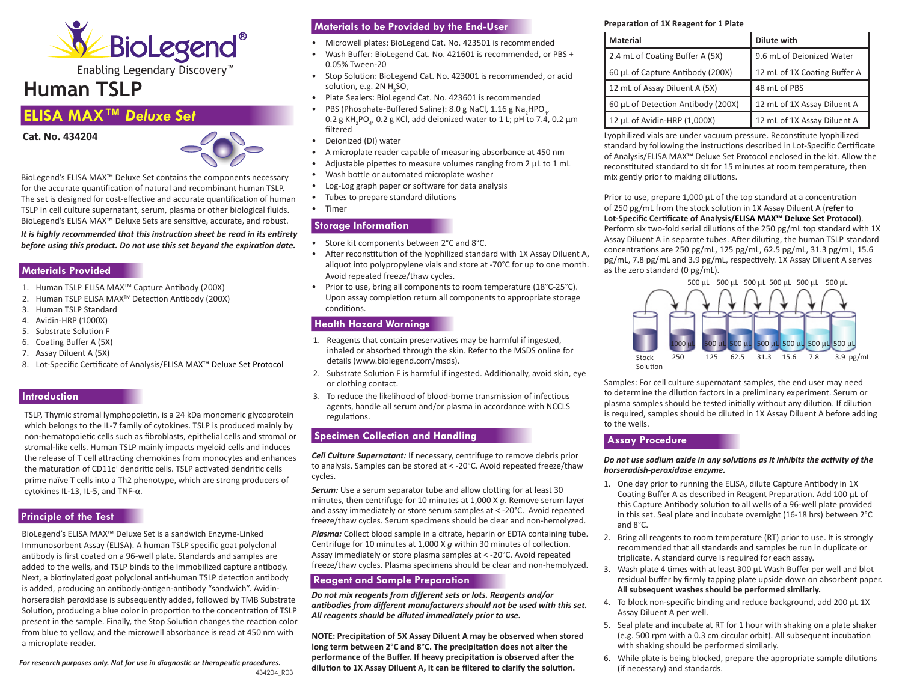

Enabling Legendary Discovery™

# **Human TSLP**

# **ELISA MAX™** *Deluxe Set*





BioLegend's ELISA MAX™ Deluxe Set contains the components necessary for the accurate quantification of natural and recombinant human TSLP. The set is designed for cost-effective and accurate quantification of human TSLP in cell culture supernatant, serum, plasma or other biological fluids. BioLegend's ELISA MAX™ Deluxe Sets are sensitive, accurate, and robust. *It is highly recommended that this instruction sheet be read in its entirety before using this product. Do not use this set beyond the expiration date.*

# **Materials Provided**

- 1. Human TSLP ELISA MAXTM Capture Antibody (200X)
- 2. Human TSLP ELISA MAXTM Detection Antibody (200X)
- 3. Human TSLP Standard
- 4. Avidin-HRP (1000X)
- 5. Substrate Solution F
- 6. Coating Buffer A (5X)
- 7. Assay Diluent A (5X)
- 8. Lot-Specific Certificate of Analysis/ELISA MAX™ Deluxe Set Protocol

#### **Introduction**

TSLP, Thymic stromal lymphopoietin, is a 24 kDa monomeric glycoprotein which belongs to the IL-7 family of cytokines. TSLP is produced mainly by non-hematopoietic cells such as fibroblasts, epithelial cells and stromal or stromal-like cells. Human TSLP mainly impacts myeloid cells and induces the release of T cell attracting chemokines from monocytes and enhances the maturation of CD11c<sup>+</sup> dendritic cells. TSLP activated dendritic cells prime naïve T cells into a Th2 phenotype, which are strong producers of cytokines IL-13, IL-5, and TNF-α.

# **Principle of the Test**

BioLegend's ELISA MAX™ Deluxe Set is a sandwich Enzyme-Linked Immunosorbent Assay (ELISA). A human TSLP specific goat polyclonal antibody is first coated on a 96-well plate. Standards and samples are added to the wells, and TSLP binds to the immobilized capture antibody. Next, a biotinylated goat polyclonal anti-human TSLP detection antibody is added, producing an antibody-antigen-antibody "sandwich". Avidinhorseradish peroxidase is subsequently added, followed by TMB Substrate Solution, producing a blue color in proportion to the concentration of TSLP present in the sample. Finally, the Stop Solution changes the reaction color from blue to yellow, and the microwell absorbance is read at 450 nm with a microplate reader.

*For research purposes only. Not for use in diagnostic or therapeutic procedures.*

- Microwell plates: BioLegend Cat. No. 423501 is recommended
- Wash Buffer: BioLegend Cat. No. 421601 is recommended, or PBS + 0.05% Tween-20
- Stop Solution: BioLegend Cat. No. 423001 is recommended, or acid solution, e.g. 2N  $H_2$ SO $_4$
- Plate Sealers: BioLegend Cat. No. 423601 is recommended
- PBS (Phosphate-Buffered Saline): 8.0 g NaCl, 1.16 g Na<sub>2</sub>HPO<sub>4</sub>,  $0.2$  g KH<sub>2</sub>PO<sub>4</sub>, 0.2 g KCl, add deionized water to 1 L; pH to 7.4, 0.2 μm filtered
- Deionized (DI) water
- A microplate reader capable of measuring absorbance at 450 nm
- Adjustable pipettes to measure volumes ranging from 2 μL to 1 mL
- Wash bottle or automated microplate washer
- Log-Log graph paper or software for data analysis
- Tubes to prepare standard dilutions
- Timer

# **Storage Information**

- Store kit components between 2°C and 8°C.
- After reconstitution of the lyophilized standard with 1X Assay Diluent A, aliquot into polypropylene vials and store at -70°C for up to one month. Avoid repeated freeze/thaw cycles.
- Prior to use, bring all components to room temperature (18°C-25°C). Upon assay completion return all components to appropriate storage conditions.

#### **Health Hazard Warnings**

- 1. Reagents that contain preservatives may be harmful if ingested, inhaled or absorbed through the skin. Refer to the MSDS online for details (www.biolegend.com/msds).
- 2. Substrate Solution F is harmful if ingested. Additionally, avoid skin, eye or clothing contact.
- 3. To reduce the likelihood of blood-borne transmission of infectious agents, handle all serum and/or plasma in accordance with NCCLS regulations.

#### **Specimen Collection and Handling**

*Cell Culture Supernatant:* If necessary, centrifuge to remove debris prior to analysis. Samples can be stored at < -20°C. Avoid repeated freeze/thaw cycles.

**Serum:** Use a serum separator tube and allow clotting for at least 30 minutes, then centrifuge for 10 minutes at 1,000 X *g*. Remove serum layer and assay immediately or store serum samples at < -20°C. Avoid repeated freeze/thaw cycles. Serum specimens should be clear and non-hemolyzed.

*Plasma:* Collect blood sample in a citrate, heparin or EDTA containing tube. Centrifuge for 10 minutes at 1,000 X *g* within 30 minutes of collection. Assay immediately or store plasma samples at < -20°C. Avoid repeated freeze/thaw cycles. Plasma specimens should be clear and non-hemolyzed.

#### **Reagent and Sample Preparation**

*Do not mix reagents from different sets or lots. Reagents and/or antibodies from different manufacturers should not be used with this set. All reagents should be diluted immediately prior to use.*

**NOTE: Precipitation of 5X Assay Diluent A may be observed when stored long term betw**e**en 2°C and 8°C. The precipitation does not alter the performance of the Buffer. If heavy precipitation is observed after the dilution to 1X Assay Diluent A, it can be filtered to clarify the solution.**

#### **Preparation of 1X Reagent for 1 Plate**

| <b>Material</b>                    | Dilute with                  |
|------------------------------------|------------------------------|
| 2.4 mL of Coating Buffer A (5X)    | 9.6 mL of Deionized Water    |
| 60 µL of Capture Antibody (200X)   | 12 mL of 1X Coating Buffer A |
| 12 mL of Assay Diluent A (5X)      | 48 mL of PBS                 |
| 60 µL of Detection Antibody (200X) | 12 mL of 1X Assay Diluent A  |
| 12 µL of Avidin-HRP (1,000X)       | 12 mL of 1X Assay Diluent A  |

Lyophilized vials are under vacuum pressure. Reconstitute lyophilized standard by following the instructions described in Lot-Specific Certificate of Analysis/ELISA MAX™ Deluxe Set Protocol enclosed in the kit. Allow the reconstituted standard to sit for 15 minutes at room temperature, then mix gently prior to making dilutions.

Prior to use, prepare 1,000 μL of the top standard at a concentration of 250 pg/mL from the stock solution in 1X Assay Diluent A (**refer to Lot-Specific Certificate of Analysis/ELISA MAX™ Deluxe Set Protocol**). Perform six two-fold serial dilutions of the 250 pg/mL top standard with 1X Assay Diluent A in separate tubes. After diluting, the human TSLP standard concentrations are 250 pg/mL, 125 pg/mL, 62.5 pg/mL, 31.3 pg/mL, 15.6 pg/mL, 7.8 pg/mL and 3.9 pg/mL, respectively. 1X Assay Diluent A serves as the zero standard (0 pg/mL).



Samples: For cell culture supernatant samples, the end user may need to determine the dilution factors in a preliminary experiment. Serum or plasma samples should be tested initially without any dilution. If dilution is required, samples should be diluted in 1X Assay Diluent A before adding to the wells.

#### **Assay Procedure**

#### *Do not use sodium azide in any solutions as it inhibits the activity of the horseradish-peroxidase enzyme.*

- 1. One day prior to running the ELISA, dilute Capture Antibody in 1X Coating Buffer A as described in Reagent Preparation. Add 100 μL of this Capture Antibody solution to all wells of a 96-well plate provided in this set. Seal plate and incubate overnight (16-18 hrs) between 2°C and 8°C.
- 2. Bring all reagents to room temperature (RT) prior to use. It is strongly recommended that all standards and samples be run in duplicate or triplicate. A standard curve is required for each assay.
- 3. Wash plate 4 times with at least 300 μL Wash Buffer per well and blot residual buffer by firmly tapping plate upside down on absorbent paper. **All subsequent washes should be performed similarly.**
- 4. To block non-specific binding and reduce background, add 200 μL 1X Assay Diluent A per well.
- 5. Seal plate and incubate at RT for 1 hour with shaking on a plate shaker (e.g. 500 rpm with a 0.3 cm circular orbit). All subsequent incubation with shaking should be performed similarly.
- 6. While plate is being blocked, prepare the appropriate sample dilutions (if necessary) and standards.